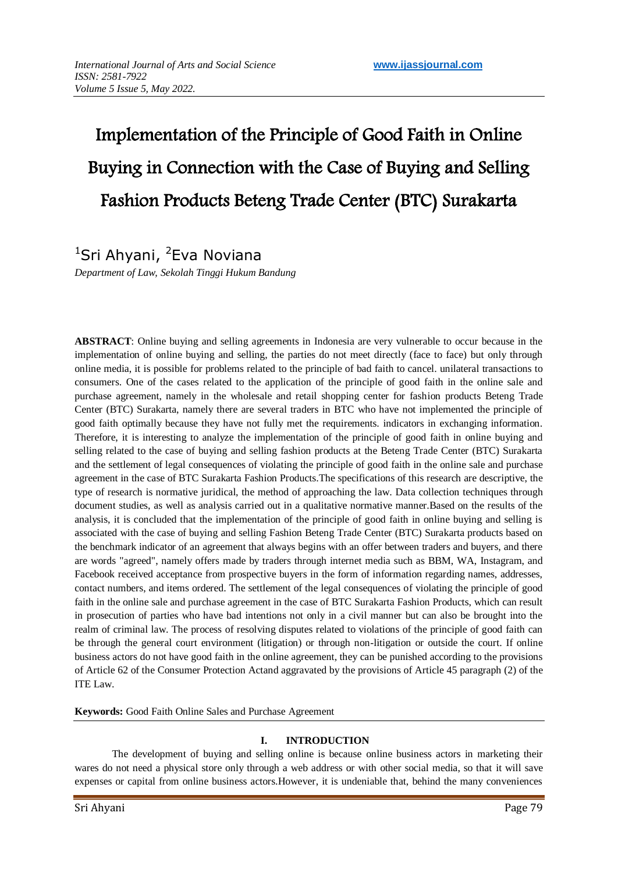# Implementation of the Principle of Good Faith in Online Buying in Connection with the Case of Buying and Selling Fashion Products Beteng Trade Center (BTC) Surakarta

# <sup>1</sup>Sri Ahyani, <sup>2</sup>Eva Noviana

*Department of Law, Sekolah Tinggi Hukum Bandung*

**ABSTRACT**: Online buying and selling agreements in Indonesia are very vulnerable to occur because in the implementation of online buying and selling, the parties do not meet directly (face to face) but only through online media, it is possible for problems related to the principle of bad faith to cancel. unilateral transactions to consumers. One of the cases related to the application of the principle of good faith in the online sale and purchase agreement, namely in the wholesale and retail shopping center for fashion products Beteng Trade Center (BTC) Surakarta, namely there are several traders in BTC who have not implemented the principle of good faith optimally because they have not fully met the requirements. indicators in exchanging information. Therefore, it is interesting to analyze the implementation of the principle of good faith in online buying and selling related to the case of buying and selling fashion products at the Beteng Trade Center (BTC) Surakarta and the settlement of legal consequences of violating the principle of good faith in the online sale and purchase agreement in the case of BTC Surakarta Fashion Products.The specifications of this research are descriptive, the type of research is normative juridical, the method of approaching the law. Data collection techniques through document studies, as well as analysis carried out in a qualitative normative manner.Based on the results of the analysis, it is concluded that the implementation of the principle of good faith in online buying and selling is associated with the case of buying and selling Fashion Beteng Trade Center (BTC) Surakarta products based on the benchmark indicator of an agreement that always begins with an offer between traders and buyers, and there are words "agreed", namely offers made by traders through internet media such as BBM, WA, Instagram, and Facebook received acceptance from prospective buyers in the form of information regarding names, addresses, contact numbers, and items ordered. The settlement of the legal consequences of violating the principle of good faith in the online sale and purchase agreement in the case of BTC Surakarta Fashion Products, which can result in prosecution of parties who have bad intentions not only in a civil manner but can also be brought into the realm of criminal law. The process of resolving disputes related to violations of the principle of good faith can be through the general court environment (litigation) or through non-litigation or outside the court. If online business actors do not have good faith in the online agreement, they can be punished according to the provisions of Article 62 of the Consumer Protection Actand aggravated by the provisions of Article 45 paragraph (2) of the ITE Law.

**Keywords:** Good Faith Online Sales and Purchase Agreement

# **I. INTRODUCTION**

The development of buying and selling online is because online business actors in marketing their wares do not need a physical store only through a web address or with other social media, so that it will save expenses or capital from online business actors.However, it is undeniable that, behind the many conveniences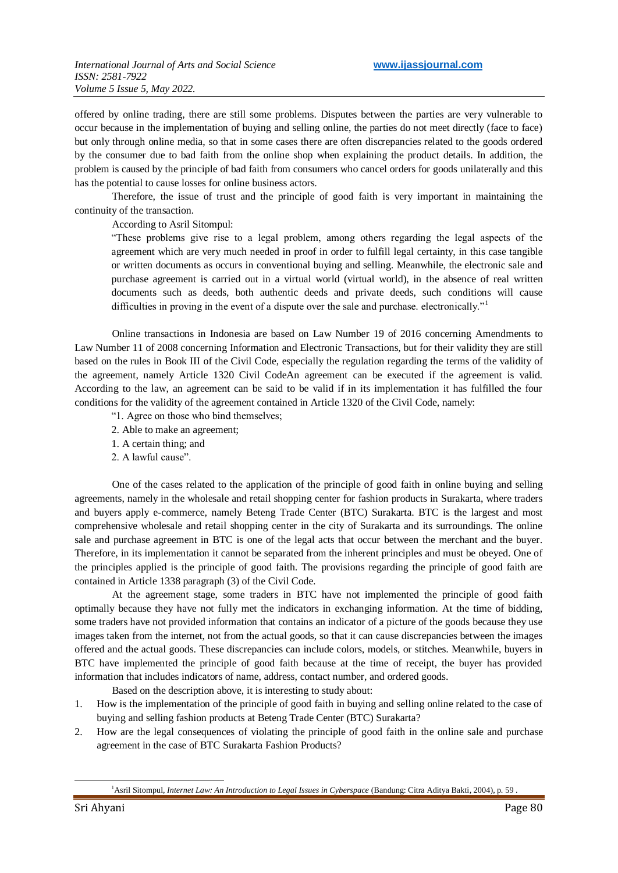offered by online trading, there are still some problems. Disputes between the parties are very vulnerable to occur because in the implementation of buying and selling online, the parties do not meet directly (face to face) but only through online media, so that in some cases there are often discrepancies related to the goods ordered by the consumer due to bad faith from the online shop when explaining the product details. In addition, the problem is caused by the principle of bad faith from consumers who cancel orders for goods unilaterally and this has the potential to cause losses for online business actors.

Therefore, the issue of trust and the principle of good faith is very important in maintaining the continuity of the transaction.

According to Asril Sitompul:

"These problems give rise to a legal problem, among others regarding the legal aspects of the agreement which are very much needed in proof in order to fulfill legal certainty, in this case tangible or written documents as occurs in conventional buying and selling. Meanwhile, the electronic sale and purchase agreement is carried out in a virtual world (virtual world), in the absence of real written documents such as deeds, both authentic deeds and private deeds, such conditions will cause difficulties in proving in the event of a dispute over the sale and purchase. electronically."<sup>1</sup>

Online transactions in Indonesia are based on Law Number 19 of 2016 concerning Amendments to Law Number 11 of 2008 concerning Information and Electronic Transactions, but for their validity they are still based on the rules in Book III of the Civil Code, especially the regulation regarding the terms of the validity of the agreement, namely Article 1320 Civil CodeAn agreement can be executed if the agreement is valid. According to the law, an agreement can be said to be valid if in its implementation it has fulfilled the four conditions for the validity of the agreement contained in Article 1320 of the Civil Code, namely:

- "1. Agree on those who bind themselves;
- 2. Able to make an agreement;
- 1. A certain thing; and
- 2. A lawful cause".

One of the cases related to the application of the principle of good faith in online buying and selling agreements, namely in the wholesale and retail shopping center for fashion products in Surakarta, where traders and buyers apply e-commerce, namely Beteng Trade Center (BTC) Surakarta. BTC is the largest and most comprehensive wholesale and retail shopping center in the city of Surakarta and its surroundings. The online sale and purchase agreement in BTC is one of the legal acts that occur between the merchant and the buyer. Therefore, in its implementation it cannot be separated from the inherent principles and must be obeyed. One of the principles applied is the principle of good faith. The provisions regarding the principle of good faith are contained in Article 1338 paragraph (3) of the Civil Code.

At the agreement stage, some traders in BTC have not implemented the principle of good faith optimally because they have not fully met the indicators in exchanging information. At the time of bidding, some traders have not provided information that contains an indicator of a picture of the goods because they use images taken from the internet, not from the actual goods, so that it can cause discrepancies between the images offered and the actual goods. These discrepancies can include colors, models, or stitches. Meanwhile, buyers in BTC have implemented the principle of good faith because at the time of receipt, the buyer has provided information that includes indicators of name, address, contact number, and ordered goods.

Based on the description above, it is interesting to study about:

- 1. How is the implementation of the principle of good faith in buying and selling online related to the case of buying and selling fashion products at Beteng Trade Center (BTC) Surakarta?
- 2. How are the legal consequences of violating the principle of good faith in the online sale and purchase agreement in the case of BTC Surakarta Fashion Products?

-

<sup>&</sup>lt;sup>1</sup> Asril Sitompul, *Internet Law: An Introduction to Legal Issues in Cyberspace* (Bandung: Citra Aditya Bakti, 2004), p. 59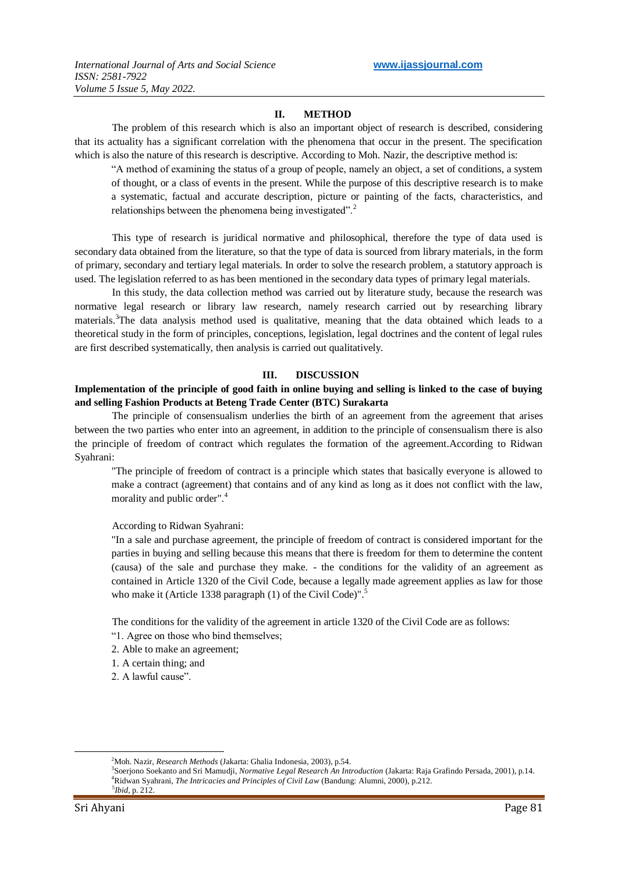#### **II. METHOD**

The problem of this research which is also an important object of research is described, considering that its actuality has a significant correlation with the phenomena that occur in the present. The specification which is also the nature of this research is descriptive. According to Moh. Nazir, the descriptive method is:

"A method of examining the status of a group of people, namely an object, a set of conditions, a system of thought, or a class of events in the present. While the purpose of this descriptive research is to make a systematic, factual and accurate description, picture or painting of the facts, characteristics, and relationships between the phenomena being investigated".<sup>2</sup>

This type of research is juridical normative and philosophical, therefore the type of data used is secondary data obtained from the literature, so that the type of data is sourced from library materials, in the form of primary, secondary and tertiary legal materials. In order to solve the research problem, a statutory approach is used. The legislation referred to as has been mentioned in the secondary data types of primary legal materials.

In this study, the data collection method was carried out by literature study, because the research was normative legal research or library law research, namely research carried out by researching library materials.<sup>3</sup>The data analysis method used is qualitative, meaning that the data obtained which leads to a theoretical study in the form of principles, conceptions, legislation, legal doctrines and the content of legal rules are first described systematically, then analysis is carried out qualitatively.

#### **III. DISCUSSION**

#### **Implementation of the principle of good faith in online buying and selling is linked to the case of buying and selling Fashion Products at Beteng Trade Center (BTC) Surakarta**

The principle of consensualism underlies the birth of an agreement from the agreement that arises between the two parties who enter into an agreement, in addition to the principle of consensualism there is also the principle of freedom of contract which regulates the formation of the agreement.According to Ridwan Syahrani:

"The principle of freedom of contract is a principle which states that basically everyone is allowed to make a contract (agreement) that contains and of any kind as long as it does not conflict with the law, morality and public order".<sup>4</sup>

According to Ridwan Syahrani:

"In a sale and purchase agreement, the principle of freedom of contract is considered important for the parties in buying and selling because this means that there is freedom for them to determine the content (causa) of the sale and purchase they make. - the conditions for the validity of an agreement as contained in Article 1320 of the Civil Code, because a legally made agreement applies as law for those who make it (Article 1338 paragraph (1) of the Civil Code)".<sup>5</sup>

The conditions for the validity of the agreement in article 1320 of the Civil Code are as follows: "1. Agree on those who bind themselves;

- 2. Able to make an agreement;
- 1. A certain thing; and
- 2. A lawful cause".

1

<sup>2</sup>Moh. Nazir, *Research Methods* (Jakarta: Ghalia Indonesia, 2003), p.54.

<sup>3</sup> Soerjono Soekanto and Sri Mamudji, *Normative Legal Research An Introduction* (Jakarta: Raja Grafindo Persada, 2001), p.14. <sup>4</sup>Ridwan Syahrani, *The Intricacies and Principles of Civil Law* (Bandung: Alumni, 2000), p.212. 5 *Ibid,* p. 212.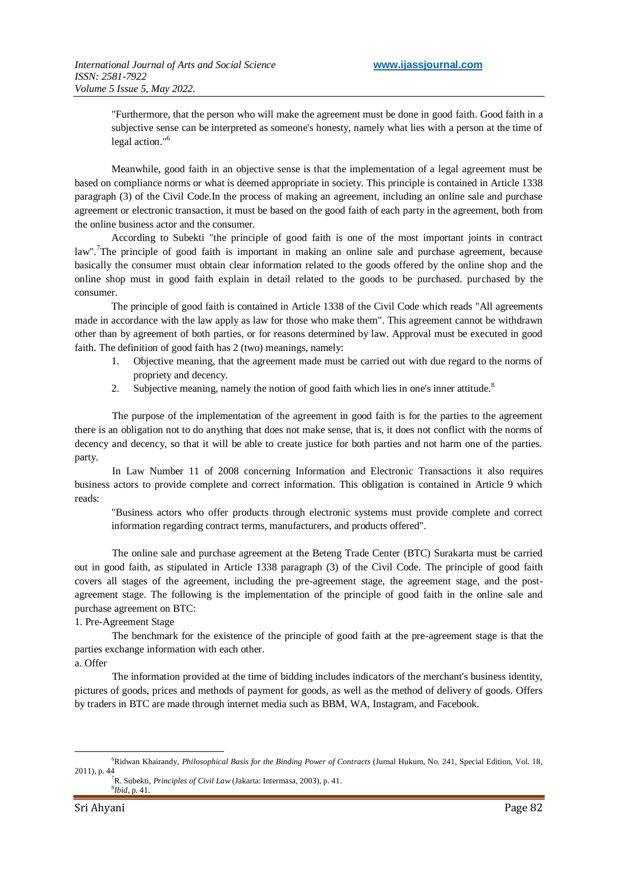"Furthermore, that the person who will make the agreement must be done in good faith. Good faith in a subjective sense can be interpreted as someone's honesty, namely what lies with a person at the time of legal action."<sup>6</sup>

Meanwhile, good faith in an objective sense is that the implementation of a legal agreement must be based on compliance norms or what is deemed appropriate in society. This principle is contained in Article 1338 paragraph (3) of the Civil Code.In the process of making an agreement, including an online sale and purchase agreement or electronic transaction, it must be based on the good faith of each party in the agreement, both from the online business actor and the consumer.

According to Subekti "the principle of good faith is one of the most important joints in contract law".<sup>7</sup>The principle of good faith is important in making an online sale and purchase agreement, because basically the consumer must obtain clear information related to the goods offered by the online shop and the online shop must in good faith explain in detail related to the goods to be purchased. purchased by the consumer.

The principle of good faith is contained in Article 1338 of the Civil Code which reads "All agreements made in accordance with the law apply as law for those who make them". This agreement cannot be withdrawn other than by agreement of both parties, or for reasons determined by law. Approval must be executed in good faith. The definition of good faith has 2 (two) meanings, namely:

- 1. Objective meaning, that the agreement made must be carried out with due regard to the norms of propriety and decency.
- 2. Subjective meaning, namely the notion of good faith which lies in one's inner attitude.<sup>8</sup>

The purpose of the implementation of the agreement in good faith is for the parties to the agreement there is an obligation not to do anything that does not make sense, that is, it does not conflict with the norms of decency and decency, so that it will be able to create justice for both parties and not harm one of the parties. party.

In Law Number 11 of 2008 concerning Information and Electronic Transactions it also requires business actors to provide complete and correct information. This obligation is contained in Article 9 which reads:

"Business actors who offer products through electronic systems must provide complete and correct information regarding contract terms, manufacturers, and products offered".

The online sale and purchase agreement at the Beteng Trade Center (BTC) Surakarta must be carried out in good faith, as stipulated in Article 1338 paragraph (3) of the Civil Code. The principle of good faith covers all stages of the agreement, including the pre-agreement stage, the agreement stage, and the postagreement stage. The following is the implementation of the principle of good faith in the online sale and purchase agreement on BTC:

1. Pre-Agreement Stage

The benchmark for the existence of the principle of good faith at the pre-agreement stage is that the parties exchange information with each other.

a. Offer

1

The information provided at the time of bidding includes indicators of the merchant's business identity, pictures of goods, prices and methods of payment for goods, as well as the method of delivery of goods. Offers by traders in BTC are made through internet media such as BBM, WA, Instagram, and Facebook.

<sup>6</sup>Ridwan Khairandy, *Philosophical Basis for the Binding Power of Contracts* (Jurnal Hukum, No. 241, Special Edition, Vol. 18, 2011), p. 44

<sup>7</sup>R. Subekti, *Principles of Civil Law* (Jakarta: Intermasa, 2003), p. 41. 8 *Ibid*, p. 41.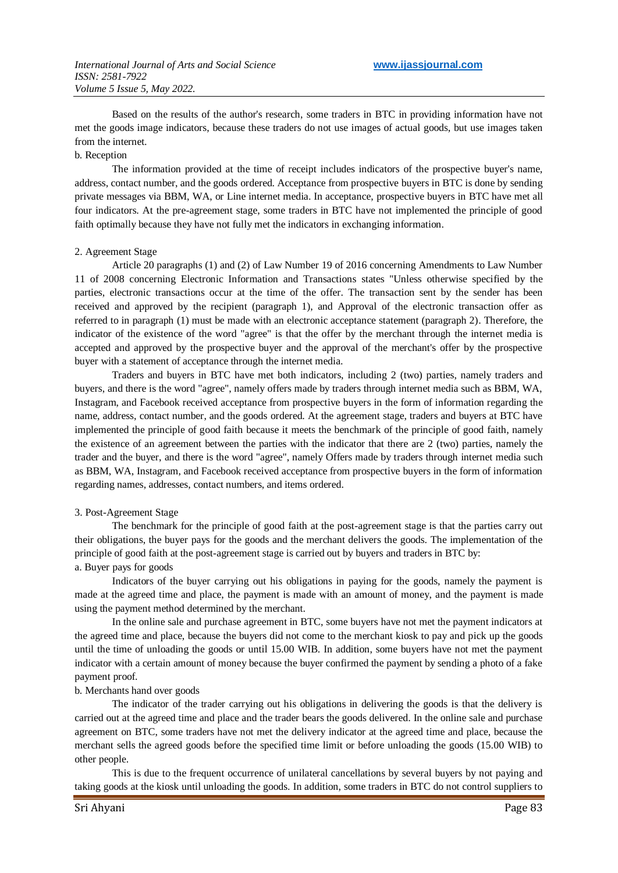Based on the results of the author's research, some traders in BTC in providing information have not met the goods image indicators, because these traders do not use images of actual goods, but use images taken from the internet.

#### b. Reception

The information provided at the time of receipt includes indicators of the prospective buyer's name, address, contact number, and the goods ordered. Acceptance from prospective buyers in BTC is done by sending private messages via BBM, WA, or Line internet media. In acceptance, prospective buyers in BTC have met all four indicators. At the pre-agreement stage, some traders in BTC have not implemented the principle of good faith optimally because they have not fully met the indicators in exchanging information.

#### 2. Agreement Stage

Article 20 paragraphs (1) and (2) of Law Number 19 of 2016 concerning Amendments to Law Number 11 of 2008 concerning Electronic Information and Transactions states "Unless otherwise specified by the parties, electronic transactions occur at the time of the offer. The transaction sent by the sender has been received and approved by the recipient (paragraph 1), and Approval of the electronic transaction offer as referred to in paragraph (1) must be made with an electronic acceptance statement (paragraph 2). Therefore, the indicator of the existence of the word "agree" is that the offer by the merchant through the internet media is accepted and approved by the prospective buyer and the approval of the merchant's offer by the prospective buyer with a statement of acceptance through the internet media.

Traders and buyers in BTC have met both indicators, including 2 (two) parties, namely traders and buyers, and there is the word "agree", namely offers made by traders through internet media such as BBM, WA, Instagram, and Facebook received acceptance from prospective buyers in the form of information regarding the name, address, contact number, and the goods ordered. At the agreement stage, traders and buyers at BTC have implemented the principle of good faith because it meets the benchmark of the principle of good faith, namely the existence of an agreement between the parties with the indicator that there are 2 (two) parties, namely the trader and the buyer, and there is the word "agree", namely Offers made by traders through internet media such as BBM, WA, Instagram, and Facebook received acceptance from prospective buyers in the form of information regarding names, addresses, contact numbers, and items ordered.

# 3. Post-Agreement Stage

The benchmark for the principle of good faith at the post-agreement stage is that the parties carry out their obligations, the buyer pays for the goods and the merchant delivers the goods. The implementation of the principle of good faith at the post-agreement stage is carried out by buyers and traders in BTC by: a. Buyer pays for goods

Indicators of the buyer carrying out his obligations in paying for the goods, namely the payment is made at the agreed time and place, the payment is made with an amount of money, and the payment is made using the payment method determined by the merchant.

In the online sale and purchase agreement in BTC, some buyers have not met the payment indicators at the agreed time and place, because the buyers did not come to the merchant kiosk to pay and pick up the goods until the time of unloading the goods or until 15.00 WIB. In addition, some buyers have not met the payment indicator with a certain amount of money because the buyer confirmed the payment by sending a photo of a fake payment proof.

# b. Merchants hand over goods

The indicator of the trader carrying out his obligations in delivering the goods is that the delivery is carried out at the agreed time and place and the trader bears the goods delivered. In the online sale and purchase agreement on BTC, some traders have not met the delivery indicator at the agreed time and place, because the merchant sells the agreed goods before the specified time limit or before unloading the goods (15.00 WIB) to other people.

This is due to the frequent occurrence of unilateral cancellations by several buyers by not paying and taking goods at the kiosk until unloading the goods. In addition, some traders in BTC do not control suppliers to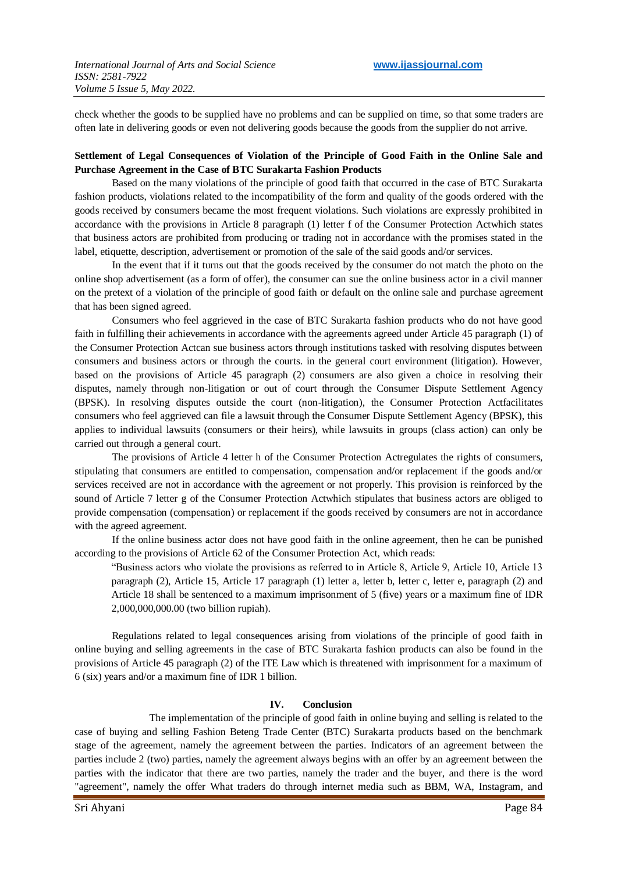check whether the goods to be supplied have no problems and can be supplied on time, so that some traders are often late in delivering goods or even not delivering goods because the goods from the supplier do not arrive.

# **Settlement of Legal Consequences of Violation of the Principle of Good Faith in the Online Sale and Purchase Agreement in the Case of BTC Surakarta Fashion Products**

Based on the many violations of the principle of good faith that occurred in the case of BTC Surakarta fashion products, violations related to the incompatibility of the form and quality of the goods ordered with the goods received by consumers became the most frequent violations. Such violations are expressly prohibited in accordance with the provisions in Article 8 paragraph (1) letter f of the Consumer Protection Actwhich states that business actors are prohibited from producing or trading not in accordance with the promises stated in the label, etiquette, description, advertisement or promotion of the sale of the said goods and/or services.

In the event that if it turns out that the goods received by the consumer do not match the photo on the online shop advertisement (as a form of offer), the consumer can sue the online business actor in a civil manner on the pretext of a violation of the principle of good faith or default on the online sale and purchase agreement that has been signed agreed.

Consumers who feel aggrieved in the case of BTC Surakarta fashion products who do not have good faith in fulfilling their achievements in accordance with the agreements agreed under Article 45 paragraph (1) of the Consumer Protection Actcan sue business actors through institutions tasked with resolving disputes between consumers and business actors or through the courts. in the general court environment (litigation). However, based on the provisions of Article 45 paragraph (2) consumers are also given a choice in resolving their disputes, namely through non-litigation or out of court through the Consumer Dispute Settlement Agency (BPSK). In resolving disputes outside the court (non-litigation), the Consumer Protection Actfacilitates consumers who feel aggrieved can file a lawsuit through the Consumer Dispute Settlement Agency (BPSK), this applies to individual lawsuits (consumers or their heirs), while lawsuits in groups (class action) can only be carried out through a general court.

The provisions of Article 4 letter h of the Consumer Protection Actregulates the rights of consumers, stipulating that consumers are entitled to compensation, compensation and/or replacement if the goods and/or services received are not in accordance with the agreement or not properly. This provision is reinforced by the sound of Article 7 letter g of the Consumer Protection Actwhich stipulates that business actors are obliged to provide compensation (compensation) or replacement if the goods received by consumers are not in accordance with the agreed agreement.

If the online business actor does not have good faith in the online agreement, then he can be punished according to the provisions of Article 62 of the Consumer Protection Act, which reads:

"Business actors who violate the provisions as referred to in Article 8, Article 9, Article 10, Article 13 paragraph (2), Article 15, Article 17 paragraph (1) letter a, letter b, letter c, letter e, paragraph (2) and Article 18 shall be sentenced to a maximum imprisonment of 5 (five) years or a maximum fine of IDR 2,000,000,000.00 (two billion rupiah).

Regulations related to legal consequences arising from violations of the principle of good faith in online buying and selling agreements in the case of BTC Surakarta fashion products can also be found in the provisions of Article 45 paragraph (2) of the ITE Law which is threatened with imprisonment for a maximum of 6 (six) years and/or a maximum fine of IDR 1 billion.

#### **IV. Conclusion**

The implementation of the principle of good faith in online buying and selling is related to the case of buying and selling Fashion Beteng Trade Center (BTC) Surakarta products based on the benchmark stage of the agreement, namely the agreement between the parties. Indicators of an agreement between the parties include 2 (two) parties, namely the agreement always begins with an offer by an agreement between the parties with the indicator that there are two parties, namely the trader and the buyer, and there is the word "agreement", namely the offer What traders do through internet media such as BBM, WA, Instagram, and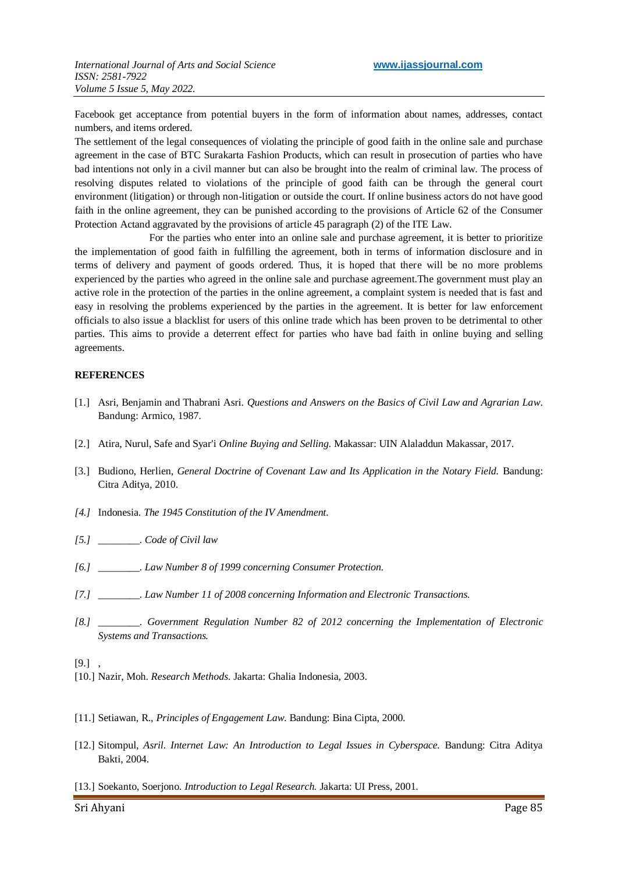Facebook get acceptance from potential buyers in the form of information about names, addresses, contact numbers, and items ordered.

The settlement of the legal consequences of violating the principle of good faith in the online sale and purchase agreement in the case of BTC Surakarta Fashion Products, which can result in prosecution of parties who have bad intentions not only in a civil manner but can also be brought into the realm of criminal law. The process of resolving disputes related to violations of the principle of good faith can be through the general court environment (litigation) or through non-litigation or outside the court. If online business actors do not have good faith in the online agreement, they can be punished according to the provisions of Article 62 of the Consumer Protection Actand aggravated by the provisions of article 45 paragraph (2) of the ITE Law.

For the parties who enter into an online sale and purchase agreement, it is better to prioritize the implementation of good faith in fulfilling the agreement, both in terms of information disclosure and in terms of delivery and payment of goods ordered. Thus, it is hoped that there will be no more problems experienced by the parties who agreed in the online sale and purchase agreement.The government must play an active role in the protection of the parties in the online agreement, a complaint system is needed that is fast and easy in resolving the problems experienced by the parties in the agreement. It is better for law enforcement officials to also issue a blacklist for users of this online trade which has been proven to be detrimental to other parties. This aims to provide a deterrent effect for parties who have bad faith in online buying and selling agreements.

#### **REFERENCES**

- [1.] Asri, Benjamin and Thabrani Asri. *Questions and Answers on the Basics of Civil Law and Agrarian Law*. Bandung: Armico, 1987.
- [2.] Atira, Nurul, Safe and Syar'i *Online Buying and Selling.* Makassar: UIN Alaladdun Makassar, 2017.
- [3.] Budiono, Herlien, *General Doctrine of Covenant Law and Its Application in the Notary Field.* Bandung: Citra Aditya, 2010.
- *[4.]* Indonesia. *The 1945 Constitution of the IV Amendment.*
- *[5.] \_\_\_\_\_\_\_\_. Code of Civil law*
- *[6.] \_\_\_\_\_\_\_\_. Law Number 8 of 1999 concerning Consumer Protection.*
- *[7.] \_\_\_\_\_\_\_\_. Law Number 11 of 2008 concerning Information and Electronic Transactions.*
- *[8.] \_\_\_\_\_\_\_\_. Government Regulation Number 82 of 2012 concerning the Implementation of Electronic Systems and Transactions.*

#### $[9.]$ ,

- [10.] Nazir, Moh. *Research Methods*. Jakarta: Ghalia Indonesia, 2003.
- [11.] Setiawan, R., *Principles of Engagement Law*. Bandung: Bina Cipta, 2000.
- [12.] Sitompul, *Asril. Internet Law: An Introduction to Legal Issues in Cyberspace.* Bandung: Citra Aditya Bakti, 2004.
- [13.] Soekanto, Soerjono. *Introduction to Legal Research.* Jakarta: UI Press, 2001.